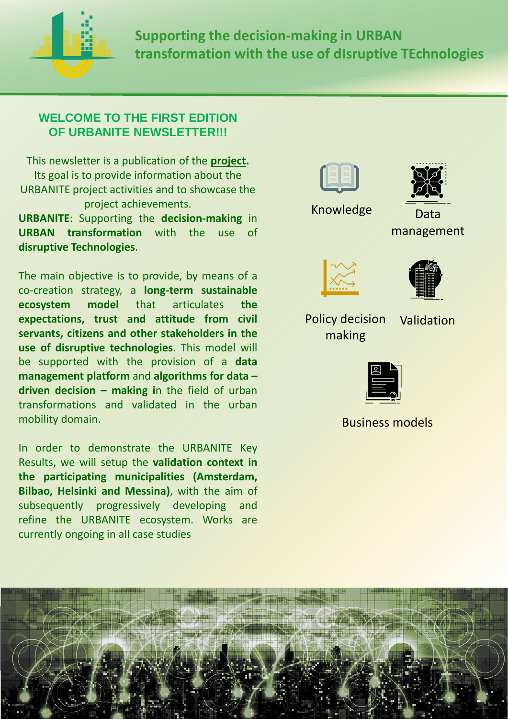

**Supporting the decision-making in URBAN transformation with the use of dIsruptive TEchnologies**

### **WELCOME TO THE FIRST EDITION OF URBANITE NEWSLETTER!!!**

This newsletter is a publication of the **[project.](http://www.urbanite-project.eu/content/objectives)** Its goal is to provide information about the URBANITE project activities and to showcase the project achievements.

**URBANITE**: Supporting the **decision-making** in **URBAN transformation** with the use of **disruptive Technologies**.

The main objective is to provide, by means of a co-creation strategy, a **long-term sustainable ecosystem model** that articulates **the expectations, trust and attitude from civil servants, citizens and other stakeholders in the use of disruptive technologies**. This model will be supported with the provision of a **data management platform** and **algorithms for data – driven decision – making i**n the field of urban transformations and validated in the urban mobility domain.

In order to demonstrate the URBANITE Key Results, we will setup the **validation context in the participating municipalities (Amsterdam, Bilbao, Helsinki and Messina)**, with the aim of subsequently progressively developing and refine the URBANITE ecosystem. Works are currently ongoing in all case studies





Knowledge Data

management





Policy decision making

Validation



Business models

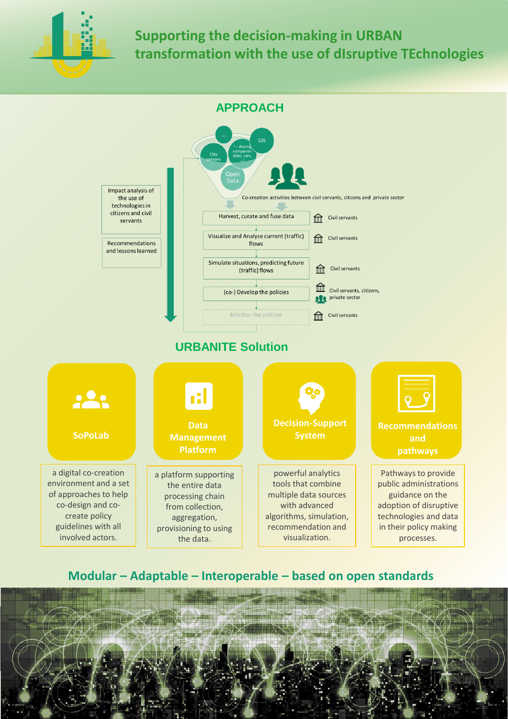

**APPROACH** Impact analysis of Co-creation activities between civil servants, citizens and private sector the use of technologies in citizens and civil Harvest, curate and fuse data **THE Civil servants** servants Visualize and Analyse current (traffic) Civil servants Recommendations flows and lessons learned Simulate situations, predicting future Civil servants ितो (traffic) flows  $\mathbb{H}$ Civil servants, citizens, (co-) Develop the policies **All** private sector Monitor the policies **film** Civil servants **URBANITE Solution**223 **Decision-Support Data Recommendations SoPoLab System Management and Platform pathways**  a digital co-creation Pathways to provide powerful analytics a platform supporting environment and a set tools that combine public administrations the entire data of approaches to help multiple data sources guidance on the processing chain co-design and cowith advanced adoption of disruptive from collection, create policy algorithms, simulation, technologies and data aggregation, guidelines with all recommendation and in their policy making provisioning to using involved actors. visualization. processes. the data.

#### **Modular – Adaptable – Interoperable – based on open standards**

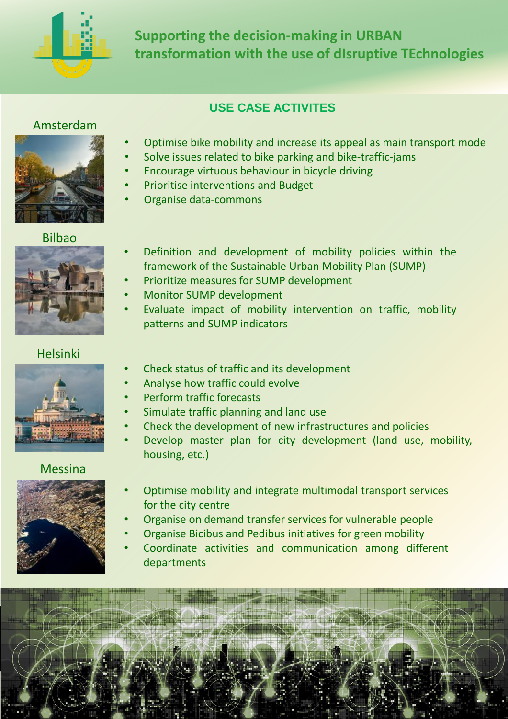

# **USE CASE ACTIVITES**

#### Amsterdam



#### Bilbao



- Optimise bike mobility and increase its appeal as main transport mode
- Solve issues related to bike parking and bike-traffic-jams
- Encourage virtuous behaviour in bicycle driving
- Prioritise interventions and Budget
- Organise data-commons
- Definition and development of mobility policies within the framework of the Sustainable Urban Mobility Plan (SUMP)
- Prioritize measures for SUMP development
- Monitor SUMP development
- Evaluate impact of mobility intervention on traffic, mobility patterns and SUMP indicators

## Helsinki



- Check status of traffic and its development
- Analyse how traffic could evolve
- Perform traffic forecasts
- Simulate traffic planning and land use
- Check the development of new infrastructures and policies
- Develop master plan for city development (land use, mobility, housing, etc.)

#### Messina



- Optimise mobility and integrate multimodal transport services for the city centre
- Organise on demand transfer services for vulnerable people
- Organise Bicibus and Pedibus initiatives for green mobility
- Coordinate activities and communication among different departments

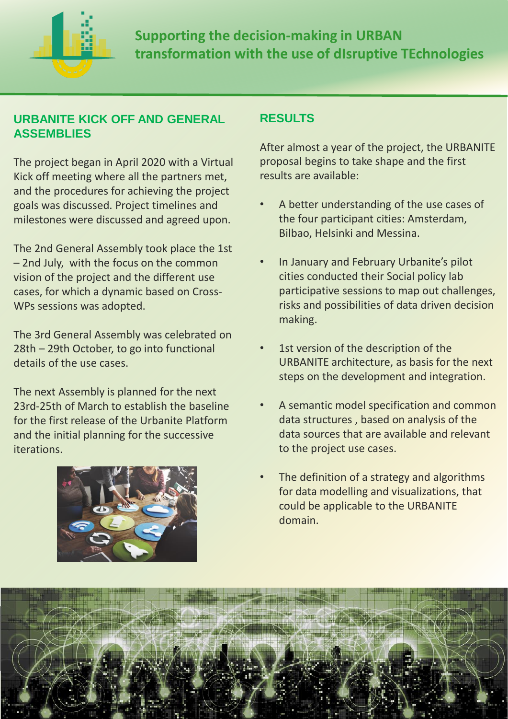

## **URBANITE KICK OFF AND GENERAL ASSEMBLIES**

The project began in April 2020 with a Virtual Kick off meeting where all the partners met, and the procedures for achieving the project goals was discussed. Project timelines and milestones were discussed and agreed upon.

The 2nd General Assembly took place the 1st – 2nd July, with the focus on the common vision of the project and the different use cases, for which a dynamic based on Cross-WPs sessions was adopted.

The 3rd General Assembly was celebrated on 28th – 29th October, to go into functional details of the use cases.

The next Assembly is planned for the next 23rd-25th of March to establish the baseline for the first release of the Urbanite Platform and the initial planning for the successive iterations.



## **RESULTS**

After almost a year of the project, the URBANITE proposal begins to take shape and the first results are available:

- A better understanding of the use cases of the four participant cities: Amsterdam, Bilbao, Helsinki and Messina.
- In January and February Urbanite's pilot cities conducted their Social policy lab participative sessions to map out challenges, risks and possibilities of data driven decision making.
- 1st version of the description of the URBANITE architecture, as basis for the next steps on the development and integration.
- A semantic model specification and common data structures , based on analysis of the data sources that are available and relevant to the project use cases.
- The definition of a strategy and algorithms for data modelling and visualizations, that could be applicable to the URBANITE domain.

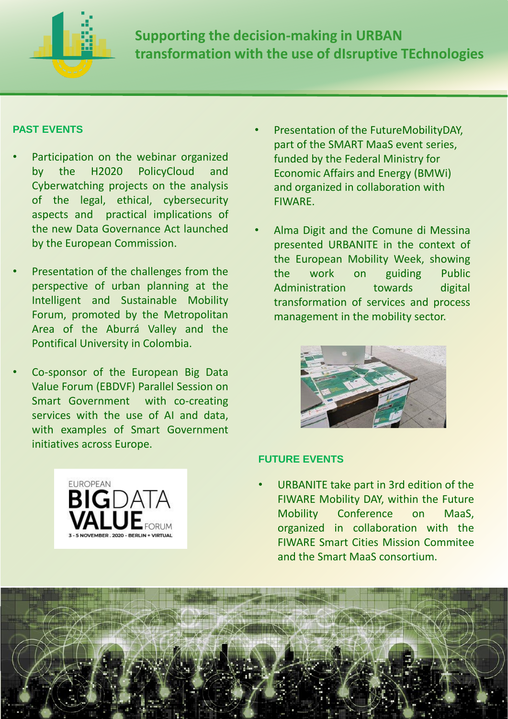

#### **PAST EVENTS**

- Participation on the webinar organized by the H2020 PolicyCloud and Cyberwatching projects on the analysis of the legal, ethical, cybersecurity aspects and practical implications of the new Data Governance Act launched by the European Commission.
- Presentation of the challenges from the perspective of urban planning at the Intelligent and Sustainable Mobility Forum, promoted by the Metropolitan Area of the Aburrá Valley and the Pontifical University in Colombia.
- Co-sponsor of the European Big Data Value Forum (EBDVF) Parallel Session on Smart Government with co-creating services with the use of AI and data, with examples of Smart Government initiatives across Europe.
- Presentation of the FutureMobilityDAY, part of the SMART MaaS event series, funded by the Federal Ministry for Economic Affairs and Energy (BMWi) and organized in collaboration with FIWARE.
- Alma Digit and the Comune di Messina presented URBANITE in the context of the European Mobility Week, showing the work on guiding Public Administration towards digital transformation of services and process management in the mobility sector..





#### **FUTURE EVENTS**

• URBANITE take part in 3rd edition of the FIWARE Mobility DAY, within the Future Mobility Conference on MaaS, organized in collaboration with the FIWARE Smart Cities Mission Commitee and the Smart MaaS consortium.